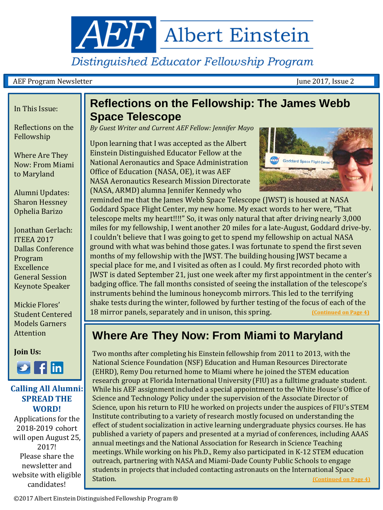<span id="page-0-0"></span>**AEF** Albert Einstein

Distinguished Educator Fellowship Program

#### AEF Program Newsletter June 2017, Issue 2

#### In This Issue:

Reflections on the Fellowship

Where Are They Now: From Miami to Maryland

Alumni Updates: Sharon Hessney Ophelia Barizo

Jonathan Gerlach: ITEEA 2017 Dallas Conference Program Excellence General Session Keynote Speaker

Mickie Flores' Student Centered Models Garners Attention

**Join Us:**



#### **Calling All Alumni: SPREAD THE WORD!**

Applications for the 2018-2019 cohort will open August 25, 2017! Please share the newsletter and website with eligible candidates!

#### **Reflections on the Fellowship: The James Webb Space Telescope**

*By Guest Writer and Current AEF Fellow: Jennifer Mayo*

Upon learning that I was accepted as the Albert Einstein Distinguished Educator Fellow at the National Aeronautics and Space Administration Office of Education (NASA, OE), it was AEF NASA Aeronautics Research Mission Directorate (NASA, ARMD) alumna Jennifer Kennedy who



 Goddard Space Flight Center, my new home. My exact words to her were, "That [J](#page-0-0)WST is dated September 21, just one week after my first appointment in the center's reminded me that the James Webb Space Telescope (JWST) is housed at NASA telescope melts my heart!!!!" So, it was only natural that after driving nearly 3,000 miles for my fellowship, I went another 20 miles for a late-August, Goddard drive-by. I couldn't believe that I was going to get to spend my fellowship on actual NASA ground with what was behind those gates. I was fortunate to spend the first seven months of my fellowship with the JWST. The building housing JWST became a special place for me, and I visited as often as I could. My first recorded photo with [b](#page-0-0)adging office. The fall months consisted of seeing the installation of the telescope's [i](#page-0-0)nstruments behind the luminous honeycomb mirrors. This led to the terrifying shake tests during the winter, followed by further testing of the focus of each of the 18 mirror panels, separately and in unison, this spring. **[\(Continued on Page 4\)](#page-0-0)**

#### **Where Are They Now: From Miami to Maryland**

Two months after completing his Einstein fellowship from 2011 to 2013, with the National Science Foundation (NSF) Education and Human Resources Directorate (EHRD), Remy Dou returned home to Miami where he joined the STEM education research group at Florida International University (FIU) as a fulltime graduate student. While his AEF assignment included a special appointment to the White House's Office of Science and Technology Policy under the supervision of the Associate Director of Science, upon his return to FIU he worked on projects under the auspices of FIU's STEM Institute contributing to a variety of research mostly focused on understanding the effect of student socialization in active learning undergraduate physics courses. He has published a variety of papers and presented at a myriad of conferences, including AAAS annual meetings and the National Association for Research in Science Teaching meetings. While working on his Ph.D., Remy also participated in K-12 STEM education outreach, partnering with NASA and Miami-Dade County Public Schools to engage students in projects that included contacting astronauts on the International Space<br>Station. (Continued on P **[\(Continued on Page 4\)](#page-0-0)**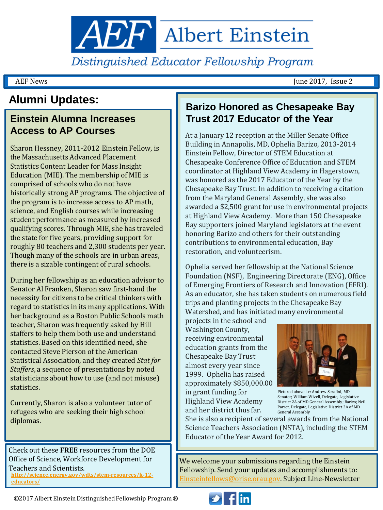

Distinguished Educator Fellowship Program

AEF News June 2017, Issue 2

### **Alumni Updates:**

## **Access to AP Courses**

Sharon Hessney, 2011-2012 Einstein Fellow, is the Massachusetts Advanced Placement Statistics Content Leader for Mass Insight Education (MIE). The membership of MIE is comprised of schools who do not have historically strong AP programs. The objective of the program is to increase access to AP math, science, and English courses while increasing student performance as measured by increased qualifying scores. Through MIE, she has traveled the state for five years, providing support for roughly 80 teachers and 2,300 students per year. Though many of the schools are in urban areas, there is a sizable contingent of rural schools.

During her fellowship as an education advisor to Senator Al Franken, Sharon saw first-hand the necessity for citizens to be critical thinkers with regard to statistics in its many applications. With her background as a Boston Public Schools math teacher, Sharon was frequently asked by Hill staffers to help them both use and understand statistics. Based on this identified need, she contacted Steve Pierson of the American Statistical Association, and they created *Stat for Staffers*, a sequence of presentations by noted statisticians about how to use (and not misuse) statistics.

Currently, Sharon is also a volunteer tutor of refugees who are seeking their high school diplomas.

Check out these **FREE** resources from the DOE Office of Science, Workforce Development for Teachers and Scientists. **[http://science.energy.gov/wdts/stem-resources/k-12](http://science.energy.gov/wdts/stem-resources/k-12-educators/) [educators/](http://science.energy.gov/wdts/stem-resources/k-12-educators/)**

#### **Barizo Honored as Chesapeake Bay Einstein Alumna Increases Trust 2017 Educator of the Year**

At a January 12 reception at the Miller Senate Office Building in Annapolis, MD, Ophelia Barizo, 2013-2014 Einstein Fellow, Director of STEM Education at Chesapeake Conference Office of Education and STEM coordinator at Highland View Academy in Hagerstown, was honored as the 2017 Educator of the Year by the Chesapeake Bay Trust. In addition to receiving a citation from the Maryland General Assembly, she was also awarded a \$2,500 grant for use in environmental projects at Highland View Academy. More than 150 Chesapeake Bay supporters joined Maryland legislators at the event honoring Barizo and others for their outstanding contributions to environmental education, Bay restoration, and volunteerism.

Ophelia served her fellowship at the National Science Foundation (NSF), Engineering Directorate (ENG), Office of Emerging Frontiers of Research and Innovation (EFRI). As an educator, she has taken students on numerous field trips and planting projects in the Chesapeake Bay Watershed, and has initiated many environmental

projects in the school and Washington County, receiving environmental education grants from the Chesapeake Bay Trust almost every year since 1999. Ophelia has raised approximately \$850,000.00 in grant funding for Highland View Academy and her district thus far.



Pictured above l-r: Andrew Serafini, MD Senator; William Wivell, Delegate, Legislative District 2A of MD General Assembly; Barizo; Neil Parrot, Delegate, Legislative District 2A of MD General Assembly

She is also a recipient of several awards from the National Science Teachers Association (NSTA), including the STEM Educator of the Year Award for 2012.

We welcome your submissions regarding the Einstein Fellowship. Send your updates and accomplishments to: [Einsteinfellows@orise.orau.gov](mailto:Einsteinfellows@orise.orau.gov). Subject Line-Newsletter

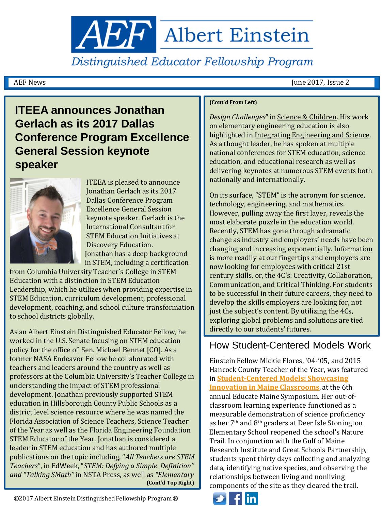**AEF** Albert Einstein

Distinguished Educator Fellowship Program

AEF News June 2017, Issue 2

#### **ITEEA announces Jonathan Gerlach as its 2017 Dallas Conference Program Excellence General Session keynote speaker**



ITEEA is pleased to announce Jonathan Gerlach as its 2017 Dallas Conference Program Excellence General Session keynote speaker. Gerlach is the International Consultant for STEM Education Initiatives at Discovery Education. Jonathan has a deep background in STEM, including a certification

from Columbia University Teacher's College in STEM Education with a distinction in STEM Education Leadership, which he utilizes when providing expertise in STEM Education, curriculum development, professional development, coaching, and school culture transformation to school districts globally.

As an Albert Einstein Distinguished Educator Fellow, he worked in the U.S. Senate focusing on STEM education policy for the office of Sen. Michael Bennet [CO]. As a former NASA Endeavor Fellow he collaborated with teachers and leaders around the country as well as professors at the Columbia University's Teacher College in understanding the impact of STEM professional development. Jonathan previously supported STEM education in Hillsborough County Public Schools as a district level science resource where he was named the Florida Association of Science Teachers, Science Teacher of the Year as well as the Florida Engineering Foundation STEM Educator of the Year. Jonathan is considered a leader in STEM education and has authored multiple publications on the topic including, "*All Teachers are STEM Teachers*", in EdWeek, "*STEM: Defying a Simple Definition" and "Talking SMath"* in NSTA Press, as well as *"Elementary*  **(Cont'd Top Right)**

#### **(Cont'd From Left)**

*Design Challenges*" in Science & Children. His work on elementary engineering education is also highlighted in Integrating Engineering and Science. As a thought leader, he has spoken at multiple national conferences for STEM education, science education, and educational research as well as delivering keynotes at numerous STEM events both nationally and internationally.

On its surface, "STEM" is the acronym for science, technology, engineering, and mathematics. However, pulling away the first layer, reveals the most elaborate puzzle in the education world. Recently, STEM has gone through a dramatic change as industry and employers' needs have been changing and increasing exponentially. Information is more readily at our fingertips and employers are now looking for employees with critical 21st century skills, or, the 4C's: Creativity, Collaboration, Communication, and Critical Thinking. For students to be successful in their future careers, they need to develop the skills employers are looking for, not just the subject's content. By utilizing the 4Cs, exploring global problems and solutions are tied directly to our students' futures.

#### How Student-Centered Models Work

Einstein Fellow Mickie Flores, '04-'05, and 2015 Hancock County Teacher of the Year, was featured in **[Student-Centered Models: Showcasing](http://www.educatemaine.org/)  [Innovation in Maine Classrooms](http://www.educatemaine.org/)**, at the 6th annual Educate Maine Symposium. Her out-ofclassroom learning experience functioned as a measurable demonstration of science proficiency as her 7th and 8th graders at Deer Isle Stonington Elementary School reopened the school's Nature Trail. In conjunction with the Gulf of Maine Research Institute and Great Schools Partnership, students spent thirty days collecting and analyzing data, identifying native species, and observing the relationships between living and nonliving components of the site as they cleared the trail.